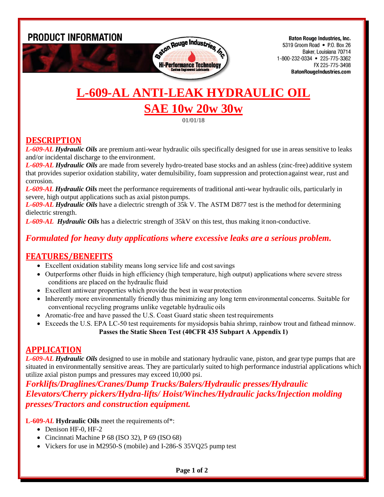**PRODUCT INFORMATION** 



**Baton Rouge Industries, Inc.** 5319 Groom Road • P.O. Box 26 Baker, Louisiana 70714 1-800-232-0334 • 225-775-3362 FX 225-775-3498 **BatonRougeIndustries.com** 

# **L-609-AL ANTI-LEAK HYDRAULIC OIL SAE 10w 20w 30w**

01/01/18

### **DESCRIPTION**

*L-609-AL Hydraulic Oils* are premium anti-wear hydraulic oils specifically designed for use in areas sensitive to leaks and/or incidental discharge to the environment.

*L-609-AL Hydraulic Oils* are made from severely hydro-treated base stocks and an ashless (zinc-free) additive system that provides superior oxidation stability, water demulsibility, foam suppression and protectionagainst wear, rust and corrosion.

*L-609-AL Hydraulic Oils* meet the performance requirements of traditional anti-wear hydraulic oils, particularly in severe, high output applications such as axial piston pumps.

*L-609-AL Hydraulic Oils* have a dielectric strength of 35k V. The ASTM D877 test is the method for determining dielectric strength.

*L-609-AL Hydraulic Oils* has a dielectric strength of 35kV on this test, thus making it non-conductive.

#### *Formulated for heavy duty applications where excessive leaks are a serious problem.*

#### **FEATURES/BENEFITS**

- Excellent oxidation stability means long service life and cost savings
- Outperforms other fluids in high efficiency (high temperature, high output) applications where severe stress conditions are placed on the hydraulic fluid
- Excellent antiwear properties which provide the best in wear protection
- Inherently more environmentally friendly thus minimizing any long term environmental concerns. Suitable for conventional recycling programs unlike vegetable hydraulic oils
- Aromatic-free and have passed the U.S. Coast Guard static sheen test requirements
- Exceeds the U.S. EPA LC-50 test requirements for mysidopsis bahia shrimp, rainbow trout and fathead minnow. **Passes the Static Sheen Test (40CFR 435 Subpart A Appendix 1)**

#### **APPLICATION**

*L-609-AL Hydraulic Oils* designed to use in mobile and stationary hydraulic vane, piston, and geartype pumps that are situated in environmentally sensitive areas. They are particularly suited to high performance industrial applications which utilize axial piston pumps and pressures may exceed 10,000 psi.

*Forklifts/Draglines/Cranes/Dump Trucks/Balers/Hydraulic presses/Hydraulic Elevators/Cherry pickers/Hydra-lifts/ Hoist/Winches/Hydraulic jacks/Injection molding presses/Tractors and construction equipment.*

**L-609-***AL* **Hydraulic Oils** meet the requirements of\*:

- Denison HF-0, HF-2
- Cincinnati Machine P 68 (ISO 32), P 69 (ISO 68)
- Vickers for use in M2950-S (mobile) and I-286-S 35VQ25 pump test

#### **Page 1 of 2**